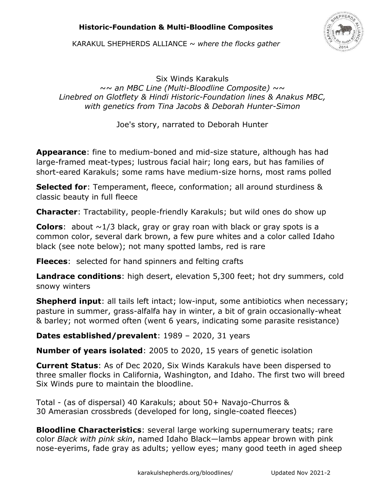# **Historic-Foundation & Multi-Bloodline Composites**



KARAKUL SHEPHERDS ALLIANCE ~ *where the flocks gather* 

Six Winds Karakuls *~~ an MBC Line (Multi-Bloodline Composite) ~~ Linebred on Glotflety & Hindi Historic-Foundation lines & Anakus MBC, with genetics from Tina Jacobs & Deborah Hunter-Simon*

Joe's story, narrated to Deborah Hunter

**Appearance**: fine to medium-boned and mid-size stature, although has had large-framed meat-types; lustrous facial hair; long ears, but has families of short-eared Karakuls; some rams have medium-size horns, most rams polled

**Selected for**: Temperament, fleece, conformation; all around sturdiness & classic beauty in full fleece

**Character**: Tractability, people-friendly Karakuls; but wild ones do show up

**Colors:** about  $\sim$ 1/3 black, gray or gray roan with black or gray spots is a common color, several dark brown, a few pure whites and a color called Idaho black (see note below); not many spotted lambs, red is rare

**Fleeces**: selected for hand spinners and felting crafts

**Landrace conditions**: high desert, elevation 5,300 feet; hot dry summers, cold snowy winters

**Shepherd input**: all tails left intact; low-input, some antibiotics when necessary; pasture in summer, grass-alfalfa hay in winter, a bit of grain occasionally-wheat & barley; not wormed often (went 6 years, indicating some parasite resistance)

**Dates established/prevalent**: 1989 – 2020, 31 years

**Number of years isolated**: 2005 to 2020, 15 years of genetic isolation

**Current Status**: As of Dec 2020, Six Winds Karakuls have been dispersed to three smaller flocks in California, Washington, and Idaho. The first two will breed Six Winds pure to maintain the bloodline.

Total - (as of dispersal) 40 Karakuls; about 50+ Navajo-Churros & 30 Amerasian crossbreds (developed for long, single-coated fleeces)

**Bloodline Characteristics**: several large working supernumerary teats; rare color *Black with pink skin*, named Idaho Black—lambs appear brown with pink nose-eyerims, fade gray as adults; yellow eyes; many good teeth in aged sheep